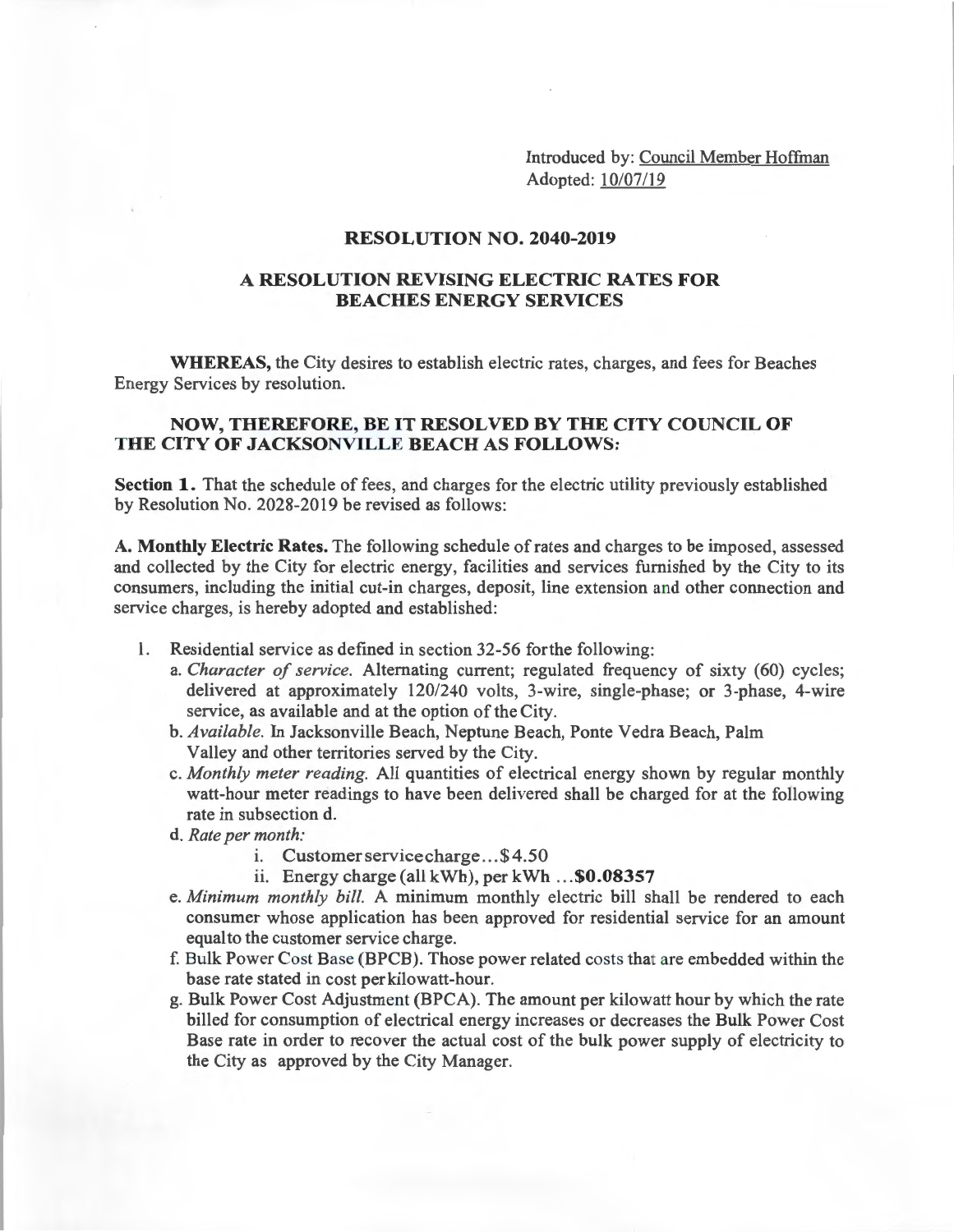Introduced by: Council Member Hoffman Adopted: 10/07/19

#### **RESOLUTION NO. 2040-2019**

# **A RESOLUTION REVISING ELECTRIC RATES FOR BEACHES ENERGY SERVICES**

**WHEREAS,** the City desires to establish electric rates, charges, and fees for Beaches Energy Services by resolution.

### **NOW, THEREFORE, BE IT RESOLVED BY THE CITY COUNCIL OF THE CITY OF JACKSONVILLE BEACH AS FOLLOWS:**

Section 1. That the schedule of fees, and charges for the electric utility previously established by Resolution No. 2028-2019 be revised as follows:

**A. Monthly Electric Rates.** The following schedule of rates and charges to be imposed, assessed and collected by the City for electric energy, facilities and services furnished by the City to its consumers, including the initial cut-in charges, deposit, line extension and other connection and service charges, is hereby adopted and established:

- 1. Residential service as defined in section 32-56 forthe following:
	- a. *Character of service.* Alternating current; regulated frequency of sixty (60) cycles; delivered at approximately 120/240 volts, 3-wire, single-phase; or 3-phase, 4-wire service, as available and at the option of the City.
	- b. *Available.* In Jacksonville Beach, Neptune Beach, Ponte Vedra Beach, Palm Valley and other territories served by the City.
	- c. *Monthly meter reading.* All quantities of electrical energy shown by regular monthly watt-hour meter readings to have been delivered shall be charged for at the following rate in subsection d.
	- d. *Rate per month:* 
		- i. Customer service charge ... \$4.50
		- ii. Energy charge (all kWh), per kWh ... **\$0.08357**
	- e. *Minimum monthly bill.* A minimum monthly electric bill shall be rendered to each consumer whose application has been approved for residential service for an amount equal to the customer service charge.
	- f. Bulk Power Cost Base (BPCB). Those power related costs that are embedded within the base rate stated in cost perkilowatt-hour.
	- g. Bulk Power Cost Adjustment (BPCA). The amount per kilowatt hour by which the rate billed for consumption of electrical energy increases or decreases the Bulk Power Cost Base rate in order to recover the actual cost of the bulk power supply of electricity to the City as approved by the City Manager.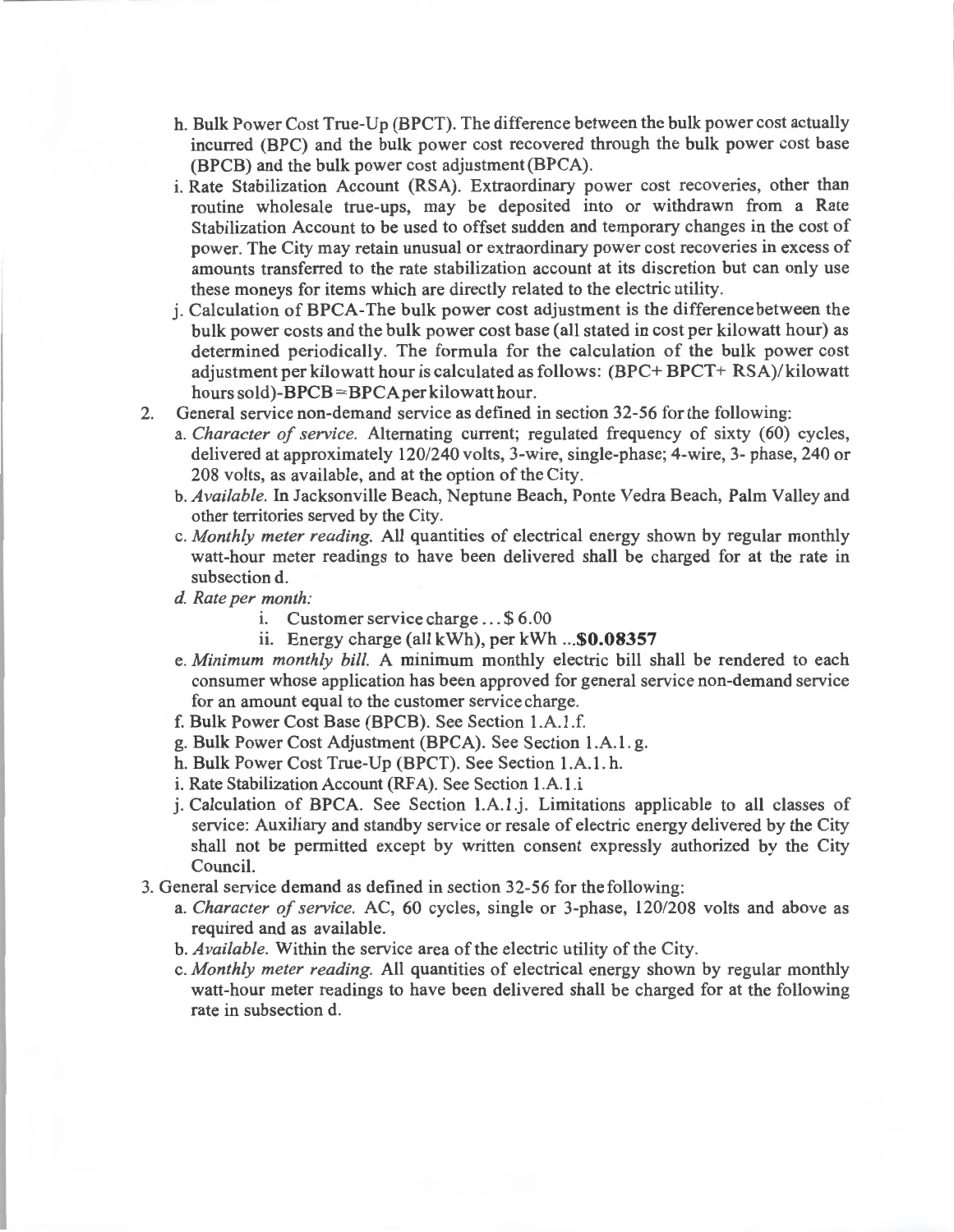- h. Bulk Power Cost True-Up (BPCT). The difference between the bulk power cost actually incurred (BPC) and the bulk power cost recovered through the bulk power cost base (BPCB) and the bulk power cost adjustment (BPCA).
- i. Rate Stabilization Account (RSA). Extraordinary power cost recoveries, other than routine wholesale true-ups, may be deposited into or withdrawn from a Rate Stabilization Account to be used to offset sudden and temporary changes in the cost of power. The City may retain unusual or extraordinary power cost recoveries in excess of amounts transferred to the rate stabilization account at its discretion but can only use these moneys for items which are directly related to the electric utility.
- j. Calculation of BPCA-The bulk power cost adjustment is the difference between the bulk power costs and the bulk power cost base (all stated in cost per kilowatt hour) as determined periodically. The formula for the calculation of the bulk power cost adjustment per kilowatt hour is calculated as follows: (BPC+ BPCT+ RSA)/ kilowatt hours sold)-BPCB = BPCA per kilowatt hour.
- 2. General service non-demand service as defined in section 32-56 for the following:
	- a. *Character of service*. Alternating current; regulated frequency of sixty (60) cycles, delivered at approximately 120/240 volts, 3-wire, single-phase; 4-wire, 3- phase, 240 or 208 volts, as available, and at the option of the City.
	- b. *Available.* In Jacksonville Beach, Neptune Beach, Ponte Vedra Beach, Palm Valley and other territories served by the City.
	- c. *Monthly meter reading.* All quantities of electrical energy shown by regular monthly watt-hour meter readings to have been delivered shall be charged for at the rate in subsection d.
	- *d. Rate per month:* 
		- i. Customer service charge .. . \$ 6.00
		- ii. Energy charge (all kWh), per kWh ... \$0.08357
	- e. *Minimum monthly bill.* A minimum monthly electric bill shall be rendered to each consumer whose application has been approved for general service non-demand service for an amount equal to the customer service charge.
	- f. Bulk Power Cost Base (BPCB). See Section 1.A.1 .f.
	- g. Bulk Power Cost Adjustment (BPCA). See Section 1.A.1 . g.
	- h. Bulk Power Cost True-Up (BPCT). See Section 1.A.1. h.
	- i. Rate Stabilization Account (RFA). See Section 1.A.1.i
	- j. Calculation of BPCA. See Section 1.A.1.j. Limitations applicable to all classes of service: Auxiliary and standby service or resale of electric energy delivered by the City shall not be permitted except by written consent expressly authorized by the City Council.
- 3. General service demand as defined in section 32-56 for the following:
	- a. *Character of service.* AC, 60 cycles, single or 3-phase, 120/208 volts and above as required and as available.
	- b. *Available.* Within the service area of the electric utility of the City.
	- c. *Monthly meter reading.* All quantities of electrical energy shown by regular monthly watt-hour meter readings to have been delivered shall be charged for at the following rate in subsection d.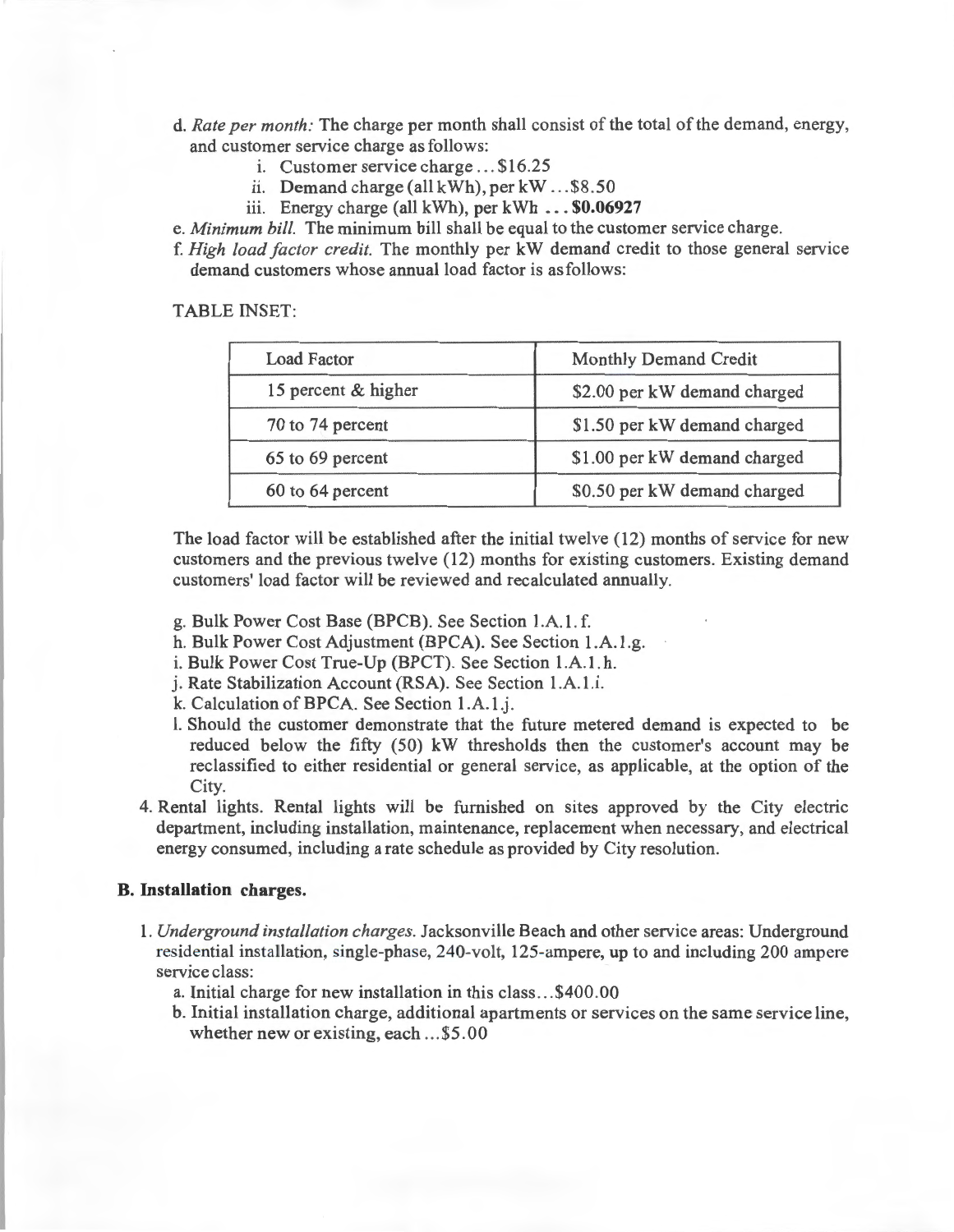- d. *Rate per month:* The charge per month shall consist of the total of the demand, energy, and customer service charge as follows:
	- i. Customer service charge ... \$16.25
	- ii. Demand charge (all kWh), per kW . . . \$8 .50
	- iii. Energy charge (all kWh), per kWh .. . **\$0.06927**

e. *Minimum bill.* The minimum bill shall be equal to the customer service charge.

f. *High load factor credit.* The monthly per kW demand credit to those general service demand customers whose annual load factor is as follows:

TABLE INSET:

| <b>Load Factor</b>  | Monthly Demand Credit        |
|---------------------|------------------------------|
| 15 percent & higher | \$2.00 per kW demand charged |
| 70 to 74 percent    | \$1.50 per kW demand charged |
| 65 to 69 percent    | \$1.00 per kW demand charged |
| 60 to 64 percent    | \$0.50 per kW demand charged |

The load factor will be established after the initial twelve ( 12) months of service for new customers and the previous twelve (12) months for existing customers. Existing demand customers' load factor will be reviewed and recalculated annually.

- g. Bulk Power Cost Base (BPCB). See Section 1.A.1. f.
- h. Bulk Power Cost Adjustment (BPCA). See Section 1.A.1 .g.
- i. Bulk Power Cost True-Up (BPCT). See Section 1.A. l. h.
- j. Rate Stabilization Account (RSA). See Section 1.A.1.i.
- k. Calculation of BPCA. See Section 1.A.1.j.
- l. Should the customer demonstrate that the future metered demand is expected to be reduced below the fifty (50) kW thresholds then the customer's account may be reclassified to either residential or general service, as applicable, at the option of the City.
- 4. Rental lights. Rental lights will be furnished on sites approved by the City electric department, including installation, maintenance, replacement when necessary, and electrical energy consumed, including a rate schedule as provided by City resolution.

# **B. Installation charges.**

- 1. *Underground installation charges.* Jacksonville Beach and other service areas: Underground residential installation, single-phase, 240-volt, 125-ampere, up to and including 200 ampere service class:
	- a. Initial charge for new installation in this class ... \$400.00
	- b. Initial installation charge, additional apartments or services on the same service line, whether new or existing, each ...\$5.00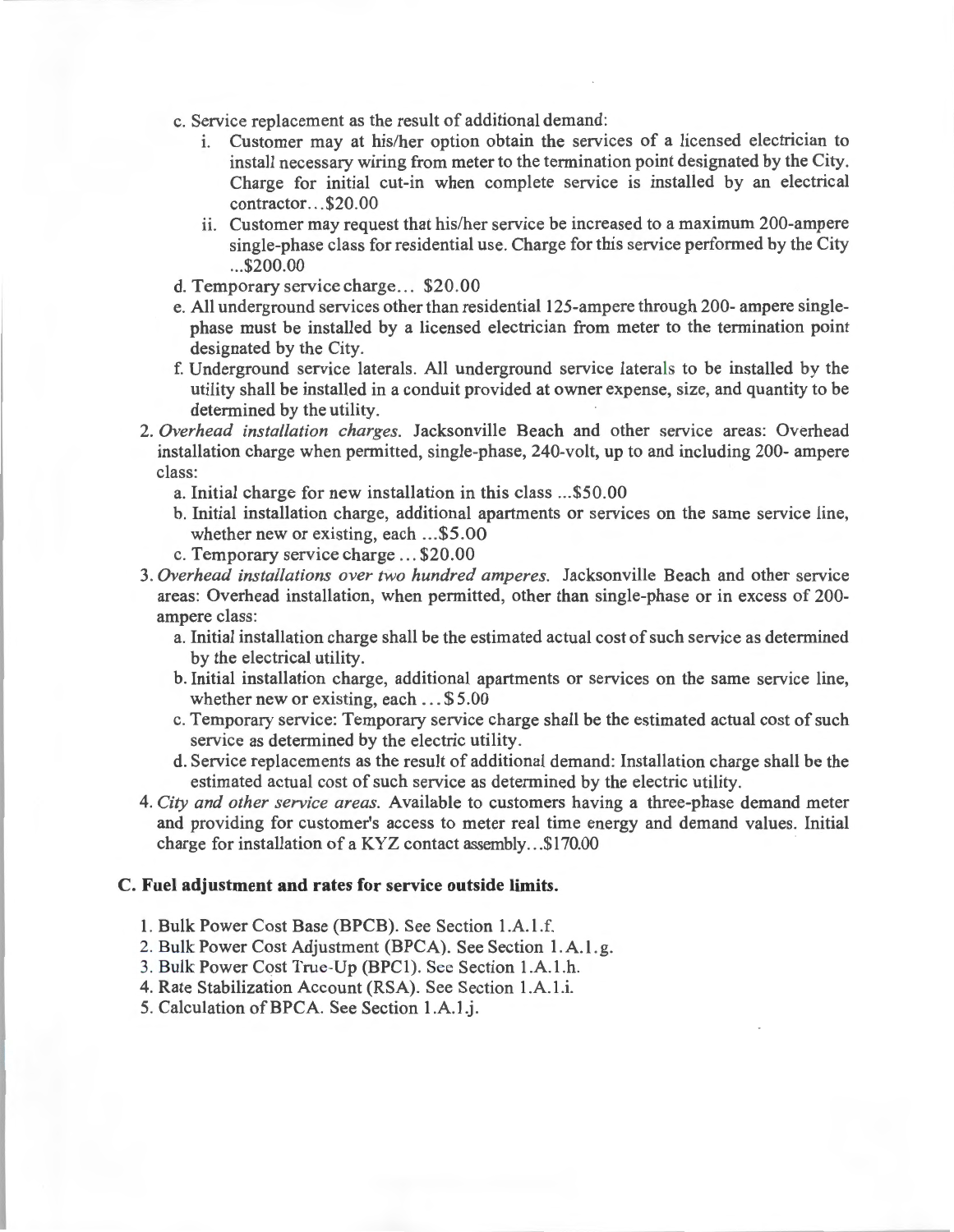- c. Service replacement as the result of additional demand:
	- 1. Customer may at his/her option obtain the services of a licensed electrician to install necessary wiring from meter to the termination point designated by the City. Charge for initial cut-in when complete service is installed by an electrical contractor. .. \$20.00
	- ii. Customer may request that his/her service be increased to a maximum 200-ampere single-phase class for residential use. Charge for this service performed by the City ... \$200.00
- d. Temporary service charge ... \$20.00
- e. All underground services other than residential 125-ampere through 200- ampere singlephase must be installed by a licensed electrician from meter to the termination point designated by the City.
- f. Underground service laterals. All underground service laterals to be installed by the utility shall be installed in a conduit provided at owner expense, size, and quantity to be determined by the utility.
- 2. *Overhead installation charges.* Jacksonville Beach and other service areas: Overhead installation charge when permitted, single-phase, 240-volt, up to and including 200- ampere class:
	- a. Initial charge for new installation in this class ... \$50.00
	- b. Initial installation charge, additional apartments or services on the same service line, whether new or existing, each ... \$5.00
	- c. Temporary service charge ... \$20.00
- 3. *Overhead installations over two hundred amperes.* Jacksonville Beach and other service areas: Overhead installation, when permitted, other than single-phase or in excess of 200 ampere class:
	- a. Initial installation charge shall be the estimated actual cost of such service as determined by the electrical utility.
	- b. Initial installation charge, additional apartments or services on the same service line, whether new or existing, each ... \$ 5.00
	- c. Temporary service: Temporary service charge shall be the estimated actual cost of such service as determined by the electric utility.
	- d. Service replacements as the result of additional demand: Installation charge shall be the estimated actual cost of such service as determined by the electric utility.
- 4. *City and other service areas.* Available to customers having a three-phase demand meter and providing for customer's access to meter real time energy and demand values. Initial charge for installation of a KYZ contact assembly ... \$170.00

### **C. Fuel adjustment and rates for service outside limits.**

- 1. Bulk Power Cost Base (BPCB). See Section l .A. l .f.
- 2. Bulk Power Cost Adjustment (BPCA). See Section 1. A. l. g.
- 3. Bulk Power Cost True-Up (BPCI). See Section l .A.1 .h.
- 4. Rate Stabilization Account (RSA). See Section 1.A.1.i.
- 5. Calculation of BPCA. See Section 1.A.1.j.